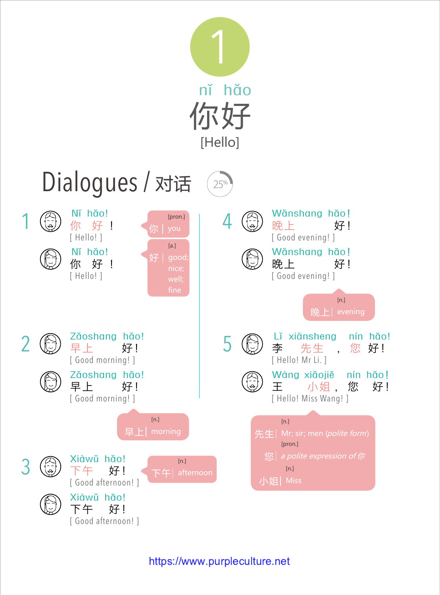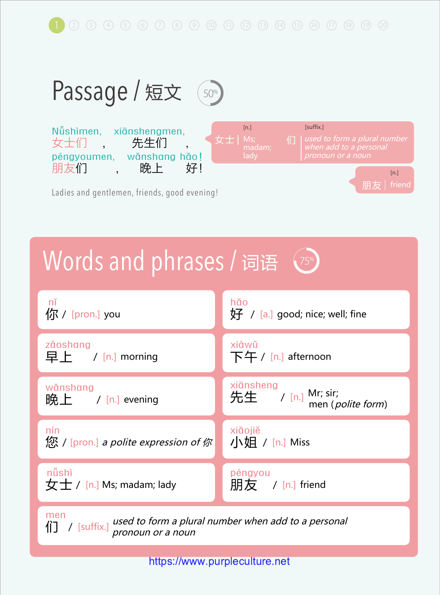$(2)$   $(3)$   $(4)$   $(5)$   $(6)$   $(7)$   $(8)$   $(9)$   $(10)$   $(11)$   $(12)$   $(13)$   $(14)$   $(15)$   $(16)$   $(17)$   $(18)$   $(19)$   $(20)$ 



## Words and phrases / 词语



/ [suffix.] used to form a plural number when add to a personal pronoun or a noun

们

[https://www.purpleculture.net](http://www.purpleculture.net)